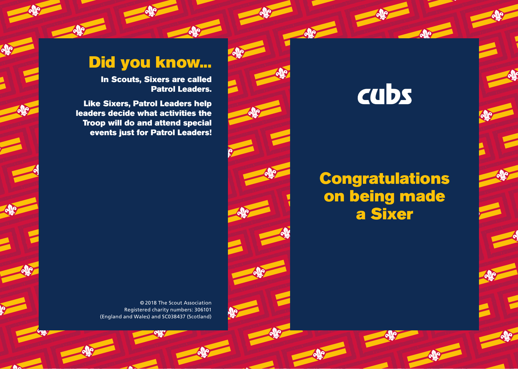#### Did you know...

In Scouts, Sixers are called Patrol Leaders.

Like Sixers, Patrol Leaders help leaders decide what activities the Troop will do and attend special events just for Patrol Leaders!

> © 2018 The Scout Association Registered charity numbers: 306101 (England and Wales) and SC038437 (Scotland)

cubs

#### **Congratulations** on being made a Sixer